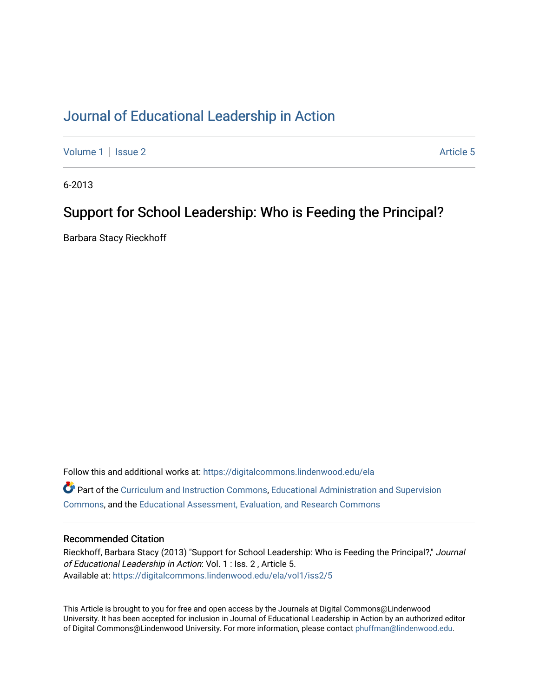### [Journal of Educational Leadership in Action](https://digitalcommons.lindenwood.edu/ela)

[Volume 1](https://digitalcommons.lindenwood.edu/ela/vol1) | [Issue 2](https://digitalcommons.lindenwood.edu/ela/vol1/iss2) Article 5

6-2013

### Support for School Leadership: Who is Feeding the Principal?

Barbara Stacy Rieckhoff

Follow this and additional works at: [https://digitalcommons.lindenwood.edu/ela](https://digitalcommons.lindenwood.edu/ela?utm_source=digitalcommons.lindenwood.edu%2Fela%2Fvol1%2Fiss2%2F5&utm_medium=PDF&utm_campaign=PDFCoverPages)  Part of the [Curriculum and Instruction Commons,](http://network.bepress.com/hgg/discipline/786?utm_source=digitalcommons.lindenwood.edu%2Fela%2Fvol1%2Fiss2%2F5&utm_medium=PDF&utm_campaign=PDFCoverPages) [Educational Administration and Supervision](http://network.bepress.com/hgg/discipline/787?utm_source=digitalcommons.lindenwood.edu%2Fela%2Fvol1%2Fiss2%2F5&utm_medium=PDF&utm_campaign=PDFCoverPages)  [Commons](http://network.bepress.com/hgg/discipline/787?utm_source=digitalcommons.lindenwood.edu%2Fela%2Fvol1%2Fiss2%2F5&utm_medium=PDF&utm_campaign=PDFCoverPages), and the [Educational Assessment, Evaluation, and Research Commons](http://network.bepress.com/hgg/discipline/796?utm_source=digitalcommons.lindenwood.edu%2Fela%2Fvol1%2Fiss2%2F5&utm_medium=PDF&utm_campaign=PDFCoverPages)

#### Recommended Citation

Rieckhoff, Barbara Stacy (2013) "Support for School Leadership: Who is Feeding the Principal?," Journal of Educational Leadership in Action: Vol. 1 : Iss. 2 , Article 5. Available at: [https://digitalcommons.lindenwood.edu/ela/vol1/iss2/5](https://digitalcommons.lindenwood.edu/ela/vol1/iss2/5?utm_source=digitalcommons.lindenwood.edu%2Fela%2Fvol1%2Fiss2%2F5&utm_medium=PDF&utm_campaign=PDFCoverPages) 

This Article is brought to you for free and open access by the Journals at Digital Commons@Lindenwood University. It has been accepted for inclusion in Journal of Educational Leadership in Action by an authorized editor of Digital Commons@Lindenwood University. For more information, please contact [phuffman@lindenwood.edu](mailto:phuffman@lindenwood.edu).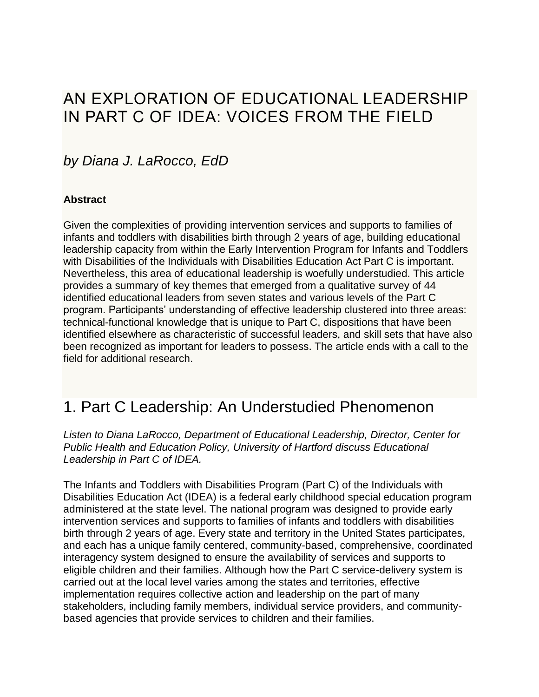## AN EXPLORATION OF EDUCATIONAL LEADERSHIP IN PART C OF IDEA: VOICES FROM THE FIELD

### *by Diana J. LaRocco, EdD*

#### **Abstract**

Given the complexities of providing intervention services and supports to families of infants and toddlers with disabilities birth through 2 years of age, building educational leadership capacity from within the Early Intervention Program for Infants and Toddlers with Disabilities of the Individuals with Disabilities Education Act Part C is important. Nevertheless, this area of educational leadership is woefully understudied. This article provides a summary of key themes that emerged from a qualitative survey of 44 identified educational leaders from seven states and various levels of the Part C program. Participants' understanding of effective leadership clustered into three areas: technical-functional knowledge that is unique to Part C, dispositions that have been identified elsewhere as characteristic of successful leaders, and skill sets that have also been recognized as important for leaders to possess. The article ends with a call to the field for additional research.

## 1. Part C Leadership: An Understudied Phenomenon

*Listen to Diana LaRocco, Department of Educational Leadership, Director, Center for Public Health and Education Policy, University of Hartford discuss Educational Leadership in Part C of IDEA.*

The Infants and Toddlers with Disabilities Program (Part C) of the Individuals with Disabilities Education Act (IDEA) is a federal early childhood special education program administered at the state level. The national program was designed to provide early intervention services and supports to families of infants and toddlers with disabilities birth through 2 years of age. Every state and territory in the United States participates, and each has a unique family centered, community-based, comprehensive, coordinated interagency system designed to ensure the availability of services and supports to eligible children and their families. Although how the Part C service-delivery system is carried out at the local level varies among the states and territories, effective implementation requires collective action and leadership on the part of many stakeholders, including family members, individual service providers, and communitybased agencies that provide services to children and their families.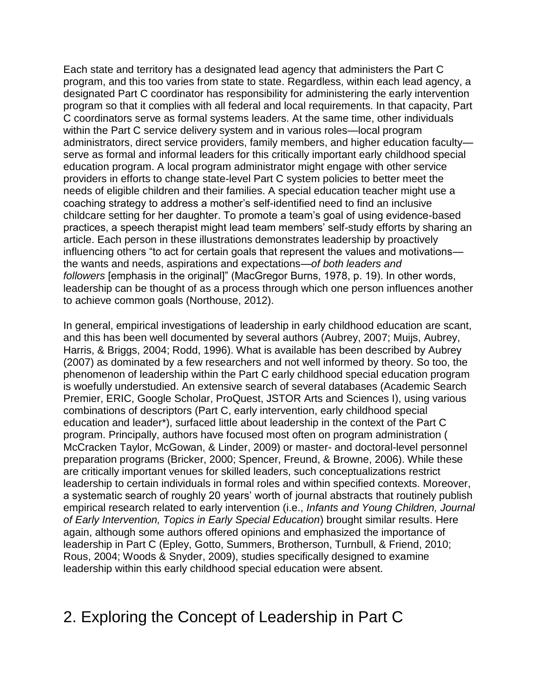Each state and territory has a designated lead agency that administers the Part C program, and this too varies from state to state. Regardless, within each lead agency, a designated Part C coordinator has responsibility for administering the early intervention program so that it complies with all federal and local requirements. In that capacity, Part C coordinators serve as formal systems leaders. At the same time, other individuals within the Part C service delivery system and in various roles—local program administrators, direct service providers, family members, and higher education faculty serve as formal and informal leaders for this critically important early childhood special education program. A local program administrator might engage with other service providers in efforts to change state-level Part C system policies to better meet the needs of eligible children and their families. A special education teacher might use a coaching strategy to address a mother's self-identified need to find an inclusive childcare setting for her daughter. To promote a team's goal of using evidence-based practices, a speech therapist might lead team members' self-study efforts by sharing an article. Each person in these illustrations demonstrates leadership by proactively influencing others "to act for certain goals that represent the values and motivations the wants and needs, aspirations and expectations—*of both leaders and followers* [emphasis in the original]" (MacGregor Burns, 1978, p. 19). In other words, leadership can be thought of as a process through which one person influences another to achieve common goals (Northouse, 2012).

In general, empirical investigations of leadership in early childhood education are scant, and this has been well documented by several authors (Aubrey, 2007; Muijs, Aubrey, Harris, & Briggs, 2004; Rodd, 1996). What is available has been described by Aubrey (2007) as dominated by a few researchers and not well informed by theory. So too, the phenomenon of leadership within the Part C early childhood special education program is woefully understudied. An extensive search of several databases (Academic Search Premier, ERIC, Google Scholar, ProQuest, JSTOR Arts and Sciences I), using various combinations of descriptors (Part C, early intervention, early childhood special education and leader\*), surfaced little about leadership in the context of the Part C program. Principally, authors have focused most often on program administration ( McCracken Taylor, McGowan, & Linder, 2009) or master- and doctoral-level personnel preparation programs (Bricker, 2000; Spencer, Freund, & Browne, 2006). While these are critically important venues for skilled leaders, such conceptualizations restrict leadership to certain individuals in formal roles and within specified contexts. Moreover, a systematic search of roughly 20 years' worth of journal abstracts that routinely publish empirical research related to early intervention (i.e., *Infants and Young Children, Journal of Early Intervention, Topics in Early Special Education*) brought similar results. Here again, although some authors offered opinions and emphasized the importance of leadership in Part C (Epley, Gotto, Summers, Brotherson, Turnbull, & Friend, 2010; Rous, 2004; Woods & Snyder, 2009), studies specifically designed to examine leadership within this early childhood special education were absent.

## 2. Exploring the Concept of Leadership in Part C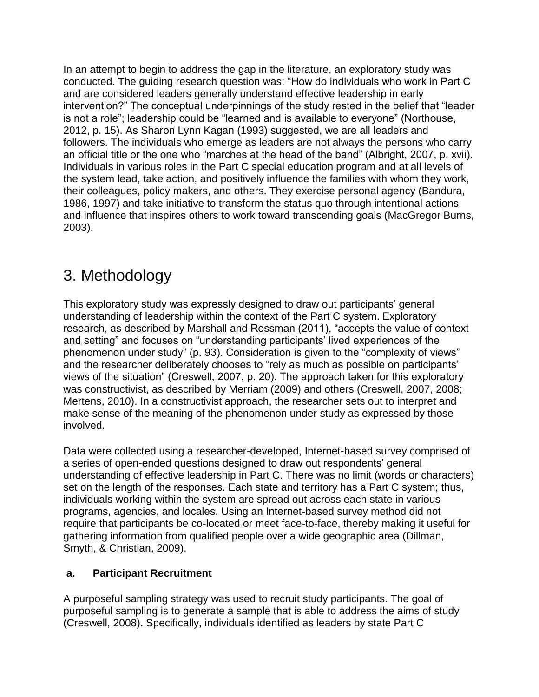In an attempt to begin to address the gap in the literature, an exploratory study was conducted. The guiding research question was: "How do individuals who work in Part C and are considered leaders generally understand effective leadership in early intervention?" The conceptual underpinnings of the study rested in the belief that "leader is not a role"; leadership could be "learned and is available to everyone" (Northouse, 2012, p. 15). As Sharon Lynn Kagan (1993) suggested, we are all leaders and followers. The individuals who emerge as leaders are not always the persons who carry an official title or the one who "marches at the head of the band" (Albright, 2007, p. xvii). Individuals in various roles in the Part C special education program and at all levels of the system lead, take action, and positively influence the families with whom they work, their colleagues, policy makers, and others. They exercise personal agency (Bandura, 1986, 1997) and take initiative to transform the status quo through intentional actions and influence that inspires others to work toward transcending goals (MacGregor Burns, 2003).

# 3. Methodology

This exploratory study was expressly designed to draw out participants' general understanding of leadership within the context of the Part C system. Exploratory research, as described by Marshall and Rossman (2011), "accepts the value of context and setting" and focuses on "understanding participants' lived experiences of the phenomenon under study" (p. 93). Consideration is given to the "complexity of views" and the researcher deliberately chooses to "rely as much as possible on participants' views of the situation" (Creswell, 2007, p. 20). The approach taken for this exploratory was constructivist, as described by Merriam (2009) and others (Creswell, 2007, 2008; Mertens, 2010). In a constructivist approach, the researcher sets out to interpret and make sense of the meaning of the phenomenon under study as expressed by those involved.

Data were collected using a researcher-developed, Internet-based survey comprised of a series of open-ended questions designed to draw out respondents' general understanding of effective leadership in Part C. There was no limit (words or characters) set on the length of the responses. Each state and territory has a Part C system; thus, individuals working within the system are spread out across each state in various programs, agencies, and locales. Using an Internet-based survey method did not require that participants be co-located or meet face-to-face, thereby making it useful for gathering information from qualified people over a wide geographic area (Dillman, Smyth, & Christian, 2009).

### **a. Participant Recruitment**

A purposeful sampling strategy was used to recruit study participants. The goal of purposeful sampling is to generate a sample that is able to address the aims of study (Creswell, 2008). Specifically, individuals identified as leaders by state Part C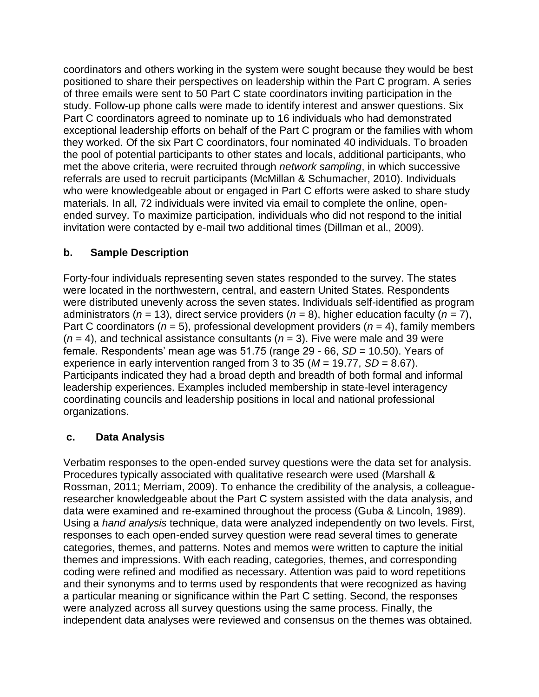coordinators and others working in the system were sought because they would be best positioned to share their perspectives on leadership within the Part C program. A series of three emails were sent to 50 Part C state coordinators inviting participation in the study. Follow-up phone calls were made to identify interest and answer questions. Six Part C coordinators agreed to nominate up to 16 individuals who had demonstrated exceptional leadership efforts on behalf of the Part C program or the families with whom they worked. Of the six Part C coordinators, four nominated 40 individuals. To broaden the pool of potential participants to other states and locals, additional participants, who met the above criteria, were recruited through *network sampling*, in which successive referrals are used to recruit participants (McMillan & Schumacher, 2010). Individuals who were knowledgeable about or engaged in Part C efforts were asked to share study materials. In all, 72 individuals were invited via email to complete the online, openended survey. To maximize participation, individuals who did not respond to the initial invitation were contacted by e-mail two additional times (Dillman et al., 2009).

#### **b. Sample Description**

Forty-four individuals representing seven states responded to the survey. The states were located in the northwestern, central, and eastern United States. Respondents were distributed unevenly across the seven states. Individuals self-identified as program administrators (*n* = 13), direct service providers (*n* = 8), higher education faculty (*n* = 7), Part C coordinators (*n* = 5), professional development providers (*n* = 4), family members  $(n = 4)$ , and technical assistance consultants  $(n = 3)$ . Five were male and 39 were female. Respondents' mean age was 51.75 (range 29 - 66, *SD* = 10.50). Years of experience in early intervention ranged from 3 to 35 (*M* = 19.77, *SD* = 8.67). Participants indicated they had a broad depth and breadth of both formal and informal leadership experiences. Examples included membership in state-level interagency coordinating councils and leadership positions in local and national professional organizations.

#### **c. Data Analysis**

Verbatim responses to the open-ended survey questions were the data set for analysis. Procedures typically associated with qualitative research were used (Marshall & Rossman, 2011; Merriam, 2009). To enhance the credibility of the analysis, a colleagueresearcher knowledgeable about the Part C system assisted with the data analysis, and data were examined and re-examined throughout the process (Guba & Lincoln, 1989). Using a *hand analysis* technique, data were analyzed independently on two levels. First, responses to each open-ended survey question were read several times to generate categories, themes, and patterns. Notes and memos were written to capture the initial themes and impressions. With each reading, categories, themes, and corresponding coding were refined and modified as necessary. Attention was paid to word repetitions and their synonyms and to terms used by respondents that were recognized as having a particular meaning or significance within the Part C setting. Second, the responses were analyzed across all survey questions using the same process. Finally, the independent data analyses were reviewed and consensus on the themes was obtained.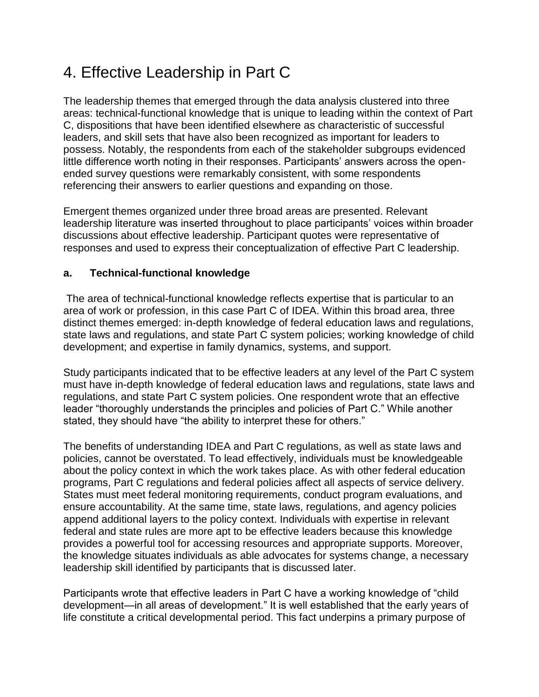# 4. Effective Leadership in Part C

The leadership themes that emerged through the data analysis clustered into three areas: technical-functional knowledge that is unique to leading within the context of Part C, dispositions that have been identified elsewhere as characteristic of successful leaders, and skill sets that have also been recognized as important for leaders to possess. Notably, the respondents from each of the stakeholder subgroups evidenced little difference worth noting in their responses. Participants' answers across the openended survey questions were remarkably consistent, with some respondents referencing their answers to earlier questions and expanding on those.

Emergent themes organized under three broad areas are presented. Relevant leadership literature was inserted throughout to place participants' voices within broader discussions about effective leadership. Participant quotes were representative of responses and used to express their conceptualization of effective Part C leadership.

### **a. Technical-functional knowledge**

The area of technical-functional knowledge reflects expertise that is particular to an area of work or profession, in this case Part C of IDEA. Within this broad area, three distinct themes emerged: in-depth knowledge of federal education laws and regulations, state laws and regulations, and state Part C system policies; working knowledge of child development; and expertise in family dynamics, systems, and support.

Study participants indicated that to be effective leaders at any level of the Part C system must have in-depth knowledge of federal education laws and regulations, state laws and regulations, and state Part C system policies. One respondent wrote that an effective leader "thoroughly understands the principles and policies of Part C." While another stated, they should have "the ability to interpret these for others."

The benefits of understanding IDEA and Part C regulations, as well as state laws and policies, cannot be overstated. To lead effectively, individuals must be knowledgeable about the policy context in which the work takes place. As with other federal education programs, Part C regulations and federal policies affect all aspects of service delivery. States must meet federal monitoring requirements, conduct program evaluations, and ensure accountability. At the same time, state laws, regulations, and agency policies append additional layers to the policy context. Individuals with expertise in relevant federal and state rules are more apt to be effective leaders because this knowledge provides a powerful tool for accessing resources and appropriate supports. Moreover, the knowledge situates individuals as able advocates for systems change, a necessary leadership skill identified by participants that is discussed later.

Participants wrote that effective leaders in Part C have a working knowledge of "child development—in all areas of development." It is well established that the early years of life constitute a critical developmental period. This fact underpins a primary purpose of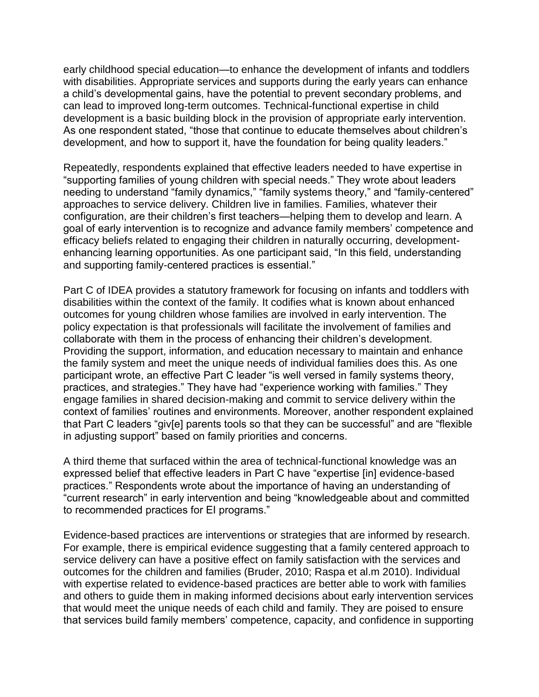early childhood special education—to enhance the development of infants and toddlers with disabilities. Appropriate services and supports during the early years can enhance a child's developmental gains, have the potential to prevent secondary problems, and can lead to improved long-term outcomes. Technical-functional expertise in child development is a basic building block in the provision of appropriate early intervention. As one respondent stated, "those that continue to educate themselves about children's development, and how to support it, have the foundation for being quality leaders."

Repeatedly, respondents explained that effective leaders needed to have expertise in "supporting families of young children with special needs." They wrote about leaders needing to understand "family dynamics," "family systems theory," and "family-centered" approaches to service delivery. Children live in families. Families, whatever their configuration, are their children's first teachers—helping them to develop and learn. A goal of early intervention is to recognize and advance family members' competence and efficacy beliefs related to engaging their children in naturally occurring, developmentenhancing learning opportunities. As one participant said, "In this field, understanding and supporting family-centered practices is essential."

Part C of IDEA provides a statutory framework for focusing on infants and toddlers with disabilities within the context of the family. It codifies what is known about enhanced outcomes for young children whose families are involved in early intervention. The policy expectation is that professionals will facilitate the involvement of families and collaborate with them in the process of enhancing their children's development. Providing the support, information, and education necessary to maintain and enhance the family system and meet the unique needs of individual families does this. As one participant wrote, an effective Part C leader "is well versed in family systems theory, practices, and strategies." They have had "experience working with families." They engage families in shared decision-making and commit to service delivery within the context of families' routines and environments. Moreover, another respondent explained that Part C leaders "giv[e] parents tools so that they can be successful" and are "flexible in adjusting support" based on family priorities and concerns.

A third theme that surfaced within the area of technical-functional knowledge was an expressed belief that effective leaders in Part C have "expertise [in] evidence-based practices." Respondents wrote about the importance of having an understanding of "current research" in early intervention and being "knowledgeable about and committed to recommended practices for EI programs."

Evidence-based practices are interventions or strategies that are informed by research. For example, there is empirical evidence suggesting that a family centered approach to service delivery can have a positive effect on family satisfaction with the services and outcomes for the children and families (Bruder, 2010; Raspa et al.m 2010). Individual with expertise related to evidence-based practices are better able to work with families and others to guide them in making informed decisions about early intervention services that would meet the unique needs of each child and family. They are poised to ensure that services build family members' competence, capacity, and confidence in supporting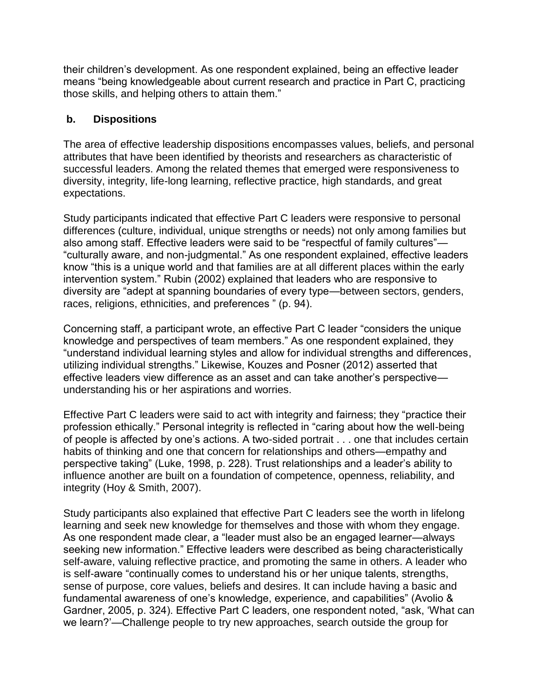their children's development. As one respondent explained, being an effective leader means "being knowledgeable about current research and practice in Part C, practicing those skills, and helping others to attain them."

#### **b. Dispositions**

The area of effective leadership dispositions encompasses values, beliefs, and personal attributes that have been identified by theorists and researchers as characteristic of successful leaders. Among the related themes that emerged were responsiveness to diversity, integrity, life-long learning, reflective practice, high standards, and great expectations.

Study participants indicated that effective Part C leaders were responsive to personal differences (culture, individual, unique strengths or needs) not only among families but also among staff. Effective leaders were said to be "respectful of family cultures"— "culturally aware, and non-judgmental." As one respondent explained, effective leaders know "this is a unique world and that families are at all different places within the early intervention system." Rubin (2002) explained that leaders who are responsive to diversity are "adept at spanning boundaries of every type—between sectors, genders, races, religions, ethnicities, and preferences " (p. 94).

Concerning staff, a participant wrote, an effective Part C leader "considers the unique knowledge and perspectives of team members." As one respondent explained, they "understand individual learning styles and allow for individual strengths and differences, utilizing individual strengths." Likewise, Kouzes and Posner (2012) asserted that effective leaders view difference as an asset and can take another's perspective understanding his or her aspirations and worries.

Effective Part C leaders were said to act with integrity and fairness; they "practice their profession ethically." Personal integrity is reflected in "caring about how the well-being of people is affected by one's actions. A two-sided portrait . . . one that includes certain habits of thinking and one that concern for relationships and others—empathy and perspective taking" (Luke, 1998, p. 228). Trust relationships and a leader's ability to influence another are built on a foundation of competence, openness, reliability, and integrity (Hoy & Smith, 2007).

Study participants also explained that effective Part C leaders see the worth in lifelong learning and seek new knowledge for themselves and those with whom they engage. As one respondent made clear, a "leader must also be an engaged learner—always seeking new information." Effective leaders were described as being characteristically self-aware, valuing reflective practice, and promoting the same in others. A leader who is self-aware "continually comes to understand his or her unique talents, strengths, sense of purpose, core values, beliefs and desires. It can include having a basic and fundamental awareness of one's knowledge, experience, and capabilities" (Avolio & Gardner, 2005, p. 324). Effective Part C leaders, one respondent noted, "ask, 'What can we learn?'—Challenge people to try new approaches, search outside the group for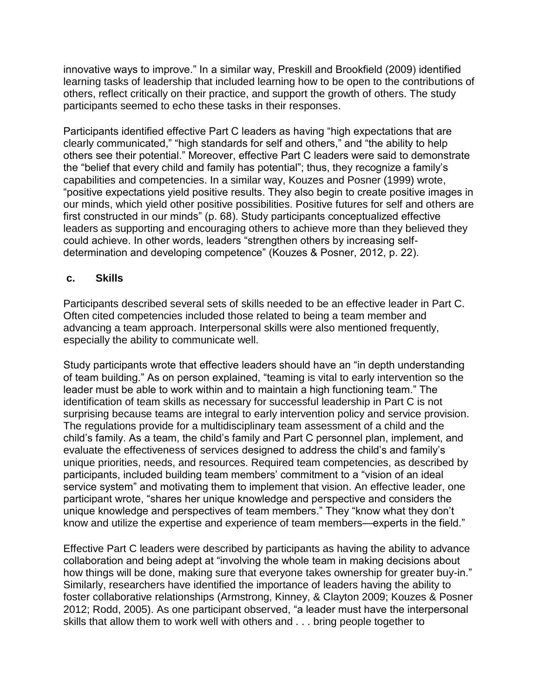innovative ways to improve." In a similar way, Preskill and Brookfield (2009) identified learning tasks of leadership that included learning how to be open to the contributions of others, reflect critically on their practice, and support the growth of others. The study participants seemed to echo these tasks in their responses.

Participants identified effective Part C leaders as having "high expectations that are clearly communicated," "high standards for self and others," and "the ability to help others see their potential." Moreover, effective Part C leaders were said to demonstrate the "belief that every child and family has potential"; thus, they recognize a family's capabilities and competencies. In a similar way, Kouzes and Posner (1999) wrote, "positive expectations yield positive results. They also begin to create positive images in our minds, which yield other positive possibilities. Positive futures for self and others are first constructed in our minds" (p. 68). Study participants conceptualized effective leaders as supporting and encouraging others to achieve more than they believed they could achieve. In other words, leaders "strengthen others by increasing selfdetermination and developing competence" (Kouzes & Posner, 2012, p. 22).

#### **c. Skills**

Participants described several sets of skills needed to be an effective leader in Part C. Often cited competencies included those related to being a team member and advancing a team approach. Interpersonal skills were also mentioned frequently, especially the ability to communicate well.

Study participants wrote that effective leaders should have an "in depth understanding of team building." As on person explained, "teaming is vital to early intervention so the leader must be able to work within and to maintain a high functioning team." The identification of team skills as necessary for successful leadership in Part C is not surprising because teams are integral to early intervention policy and service provision. The regulations provide for a multidisciplinary team assessment of a child and the child's family. As a team, the child's family and Part C personnel plan, implement, and evaluate the effectiveness of services designed to address the child's and family's unique priorities, needs, and resources. Required team competencies, as described by participants, included building team members' commitment to a "vision of an ideal service system" and motivating them to implement that vision. An effective leader, one participant wrote, "shares her unique knowledge and perspective and considers the unique knowledge and perspectives of team members." They "know what they don't know and utilize the expertise and experience of team members—experts in the field."

Effective Part C leaders were described by participants as having the ability to advance collaboration and being adept at "involving the whole team in making decisions about how things will be done, making sure that everyone takes ownership for greater buy-in." Similarly, researchers have identified the importance of leaders having the ability to foster collaborative relationships (Armstrong, Kinney, & Clayton 2009; Kouzes & Posner 2012; Rodd, 2005). As one participant observed, "a leader must have the interpersonal skills that allow them to work well with others and . . . bring people together to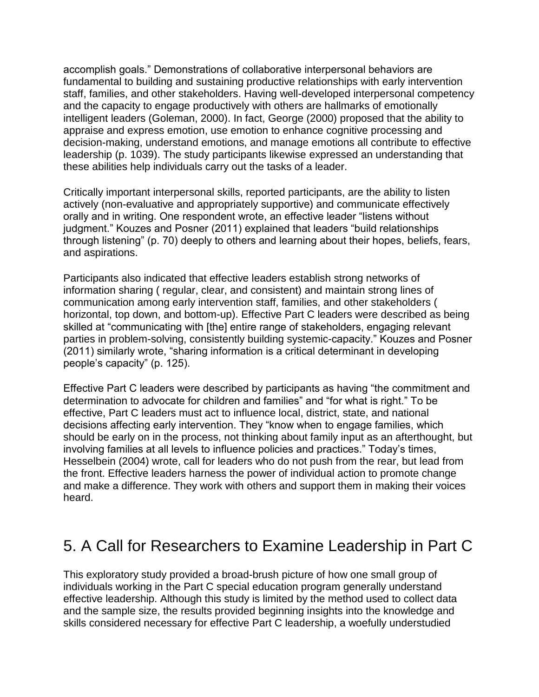accomplish goals." Demonstrations of collaborative interpersonal behaviors are fundamental to building and sustaining productive relationships with early intervention staff, families, and other stakeholders. Having well-developed interpersonal competency and the capacity to engage productively with others are hallmarks of emotionally intelligent leaders (Goleman, 2000). In fact, George (2000) proposed that the ability to appraise and express emotion, use emotion to enhance cognitive processing and decision-making, understand emotions, and manage emotions all contribute to effective leadership (p. 1039). The study participants likewise expressed an understanding that these abilities help individuals carry out the tasks of a leader.

Critically important interpersonal skills, reported participants, are the ability to listen actively (non-evaluative and appropriately supportive) and communicate effectively orally and in writing. One respondent wrote, an effective leader "listens without judgment." Kouzes and Posner (2011) explained that leaders "build relationships through listening" (p. 70) deeply to others and learning about their hopes, beliefs, fears, and aspirations.

Participants also indicated that effective leaders establish strong networks of information sharing ( regular, clear, and consistent) and maintain strong lines of communication among early intervention staff, families, and other stakeholders ( horizontal, top down, and bottom-up). Effective Part C leaders were described as being skilled at "communicating with [the] entire range of stakeholders, engaging relevant parties in problem-solving, consistently building systemic-capacity." Kouzes and Posner (2011) similarly wrote, "sharing information is a critical determinant in developing people's capacity" (p. 125).

Effective Part C leaders were described by participants as having "the commitment and determination to advocate for children and families" and "for what is right." To be effective, Part C leaders must act to influence local, district, state, and national decisions affecting early intervention. They "know when to engage families, which should be early on in the process, not thinking about family input as an afterthought, but involving families at all levels to influence policies and practices." Today's times, Hesselbein (2004) wrote, call for leaders who do not push from the rear, but lead from the front. Effective leaders harness the power of individual action to promote change and make a difference. They work with others and support them in making their voices heard.

## 5. A Call for Researchers to Examine Leadership in Part C

This exploratory study provided a broad-brush picture of how one small group of individuals working in the Part C special education program generally understand effective leadership. Although this study is limited by the method used to collect data and the sample size, the results provided beginning insights into the knowledge and skills considered necessary for effective Part C leadership, a woefully understudied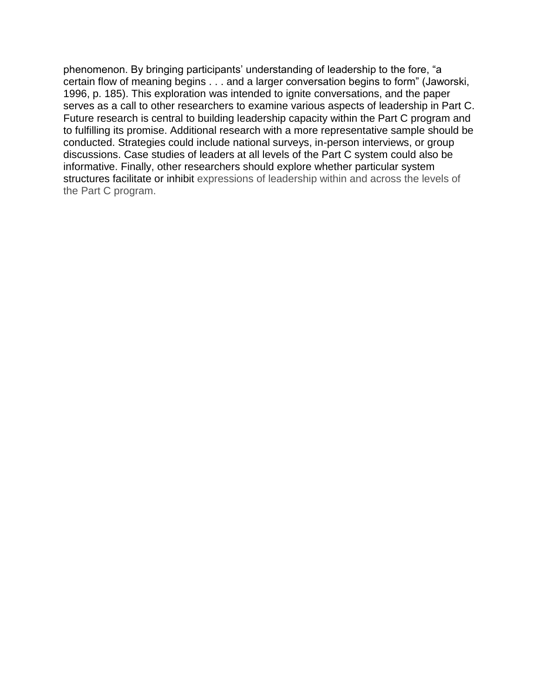phenomenon. By bringing participants' understanding of leadership to the fore, "a certain flow of meaning begins . . . and a larger conversation begins to form" (Jaworski, 1996, p. 185). This exploration was intended to ignite conversations, and the paper serves as a call to other researchers to examine various aspects of leadership in Part C. Future research is central to building leadership capacity within the Part C program and to fulfilling its promise. Additional research with a more representative sample should be conducted. Strategies could include national surveys, in-person interviews, or group discussions. Case studies of leaders at all levels of the Part C system could also be informative. Finally, other researchers should explore whether particular system structures facilitate or inhibit expressions of leadership within and across the levels of the Part C program.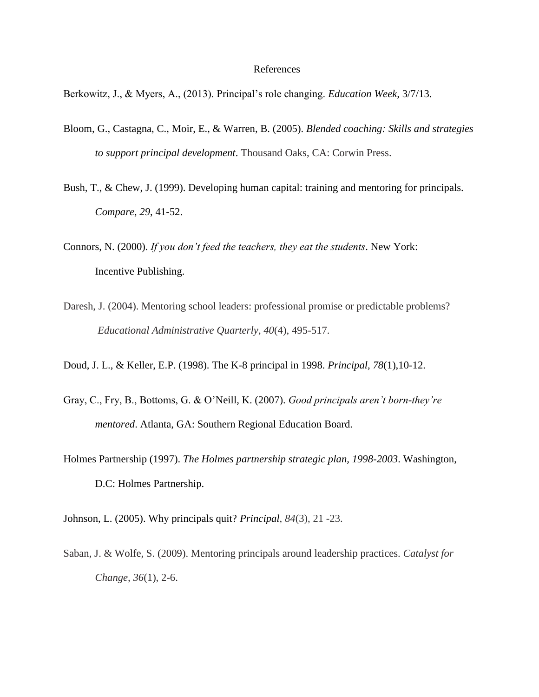#### References

Berkowitz, J., & Myers, A., (2013). Principal's role changing. *Education Week,* 3/7/13.

- Bloom, G., Castagna, C., Moir, E., & Warren, B. (2005). *Blended coaching: Skills and strategies to support principal development*. Thousand Oaks, CA: Corwin Press.
- Bush, T., & Chew, J. (1999). Developing human capital: training and mentoring for principals. *Compare*, *29*, 41-52.
- Connors, N. (2000). *If you don't feed the teachers, they eat the students*. New York: Incentive Publishing.
- Daresh, J. (2004). Mentoring school leaders: professional promise or predictable problems? *Educational Administrative Quarterly*, *40*(4), 495-517.
- Doud, J. L., & Keller, E.P. (1998). The K-8 principal in 1998. *Principal, 78*(1),10-12.
- Gray, C., Fry, B., Bottoms, G. & O'Neill, K. (2007). *Good principals aren't born-they're mentored*. Atlanta, GA: Southern Regional Education Board.
- Holmes Partnership (1997). *The Holmes partnership strategic plan, 1998-2003*. Washington, D.C: Holmes Partnership.
- Johnson, L. (2005). Why principals quit? *Principal*, *84*(3), 21 -23.
- Saban, J. & Wolfe, S. (2009). Mentoring principals around leadership practices. *Catalyst for Change, 36*(1), 2-6.